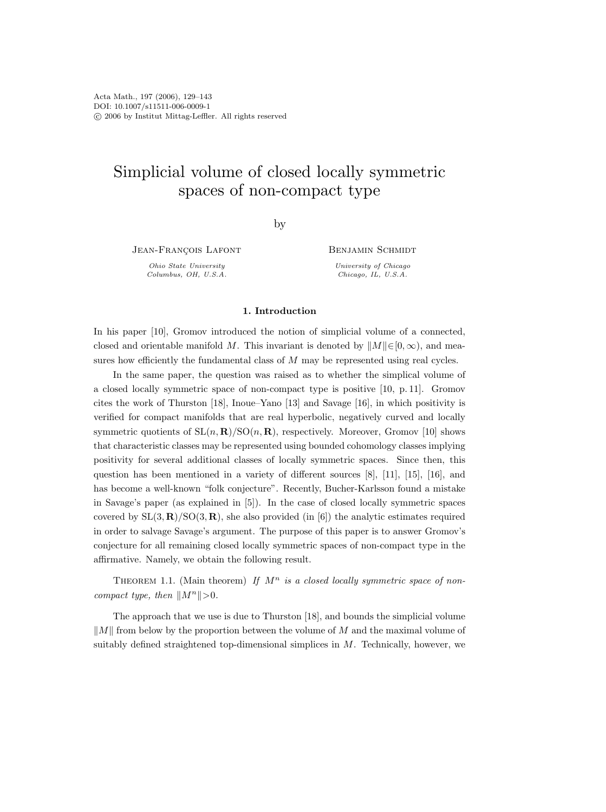# Simplicial volume of closed locally symmetric spaces of non-compact type

by

JEAN-FRANÇOIS LAFONT

Ohio State University Columbus, OH, U.S.A. Benjamin Schmidt

University of Chicago Chicago, IL, U.S.A.

# 1. Introduction

In his paper [10], Gromov introduced the notion of simplicial volume of a connected, closed and orientable manifold M. This invariant is denoted by  $||M|| \in [0, \infty)$ , and measures how efficiently the fundamental class of M may be represented using real cycles.

In the same paper, the question was raised as to whether the simplical volume of a closed locally symmetric space of non-compact type is positive [10, p. 11]. Gromov cites the work of Thurston [18], Inoue–Yano [13] and Savage [16], in which positivity is verified for compact manifolds that are real hyperbolic, negatively curved and locally symmetric quotients of  $SL(n, R)/SO(n, R)$ , respectively. Moreover, Gromov [10] shows that characteristic classes may be represented using bounded cohomology classes implying positivity for several additional classes of locally symmetric spaces. Since then, this question has been mentioned in a variety of different sources [8], [11], [15], [16], and has become a well-known "folk conjecture". Recently, Bucher-Karlsson found a mistake in Savage's paper (as explained in [5]). In the case of closed locally symmetric spaces covered by  $SL(3, \mathbf{R})/SO(3, \mathbf{R})$ , she also provided (in [6]) the analytic estimates required in order to salvage Savage's argument. The purpose of this paper is to answer Gromov's conjecture for all remaining closed locally symmetric spaces of non-compact type in the affirmative. Namely, we obtain the following result.

THEOREM 1.1. (Main theorem) If  $M^n$  is a closed locally symmetric space of noncompact type, then  $||M^n|| > 0$ .

The approach that we use is due to Thurston [18], and bounds the simplicial volume  $\Vert M \Vert$  from below by the proportion between the volume of M and the maximal volume of suitably defined straightened top-dimensional simplices in  $M$ . Technically, however, we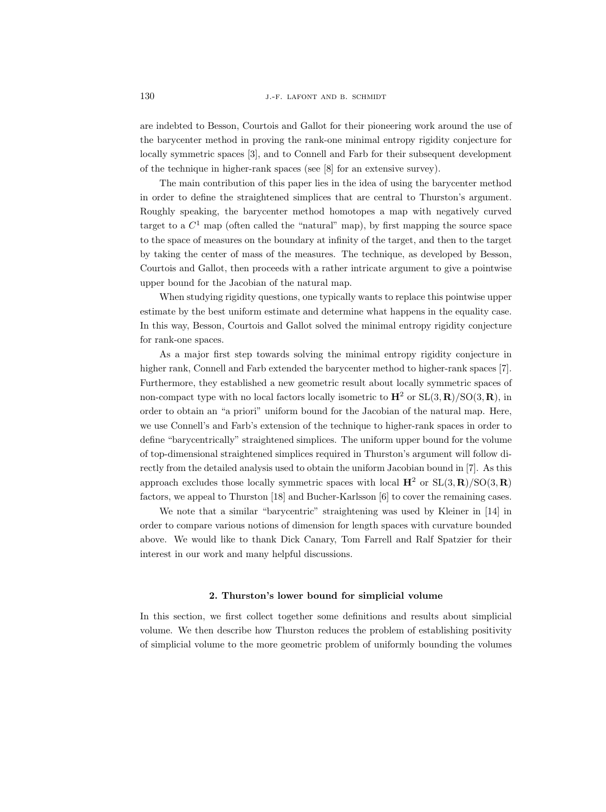are indebted to Besson, Courtois and Gallot for their pioneering work around the use of the barycenter method in proving the rank-one minimal entropy rigidity conjecture for locally symmetric spaces [3], and to Connell and Farb for their subsequent development of the technique in higher-rank spaces (see [8] for an extensive survey).

The main contribution of this paper lies in the idea of using the barycenter method in order to define the straightened simplices that are central to Thurston's argument. Roughly speaking, the barycenter method homotopes a map with negatively curved target to a  $C^1$  map (often called the "natural" map), by first mapping the source space to the space of measures on the boundary at infinity of the target, and then to the target by taking the center of mass of the measures. The technique, as developed by Besson, Courtois and Gallot, then proceeds with a rather intricate argument to give a pointwise upper bound for the Jacobian of the natural map.

When studying rigidity questions, one typically wants to replace this pointwise upper estimate by the best uniform estimate and determine what happens in the equality case. In this way, Besson, Courtois and Gallot solved the minimal entropy rigidity conjecture for rank-one spaces.

As a major first step towards solving the minimal entropy rigidity conjecture in higher rank, Connell and Farb extended the barycenter method to higher-rank spaces [7]. Furthermore, they established a new geometric result about locally symmetric spaces of non-compact type with no local factors locally isometric to  $\mathbf{H}^2$  or  $SL(3,\mathbf{R})/SO(3,\mathbf{R})$ , in order to obtain an "a priori" uniform bound for the Jacobian of the natural map. Here, we use Connell's and Farb's extension of the technique to higher-rank spaces in order to define "barycentrically" straightened simplices. The uniform upper bound for the volume of top-dimensional straightened simplices required in Thurston's argument will follow directly from the detailed analysis used to obtain the uniform Jacobian bound in [7]. As this approach excludes those locally symmetric spaces with local  $\mathbf{H}^2$  or  $SL(3,\mathbf{R})/SO(3,\mathbf{R})$ factors, we appeal to Thurston [18] and Bucher-Karlsson [6] to cover the remaining cases.

We note that a similar "barycentric" straightening was used by Kleiner in [14] in order to compare various notions of dimension for length spaces with curvature bounded above. We would like to thank Dick Canary, Tom Farrell and Ralf Spatzier for their interest in our work and many helpful discussions.

# 2. Thurston's lower bound for simplicial volume

In this section, we first collect together some definitions and results about simplicial volume. We then describe how Thurston reduces the problem of establishing positivity of simplicial volume to the more geometric problem of uniformly bounding the volumes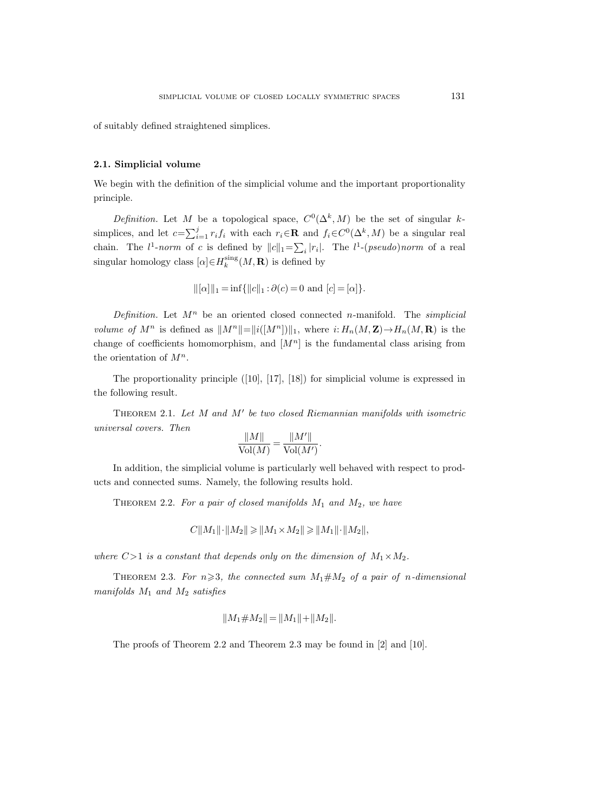of suitably defined straightened simplices.

## 2.1. Simplicial volume

We begin with the definition of the simplicial volume and the important proportionality principle.

Definition. Let M be a topological space,  $C^0(\Delta^k, M)$  be the set of singular ksimplices, and let  $c=\sum_{i=1}^j r_i f_i$  with each  $r_i \in \mathbf{R}$  and  $f_i \in C^0(\Delta^k, M)$  be a singular real chain. The  $l^1$ -norm of c is defined by  $||c||_1 = \sum_i |r_i|$ . The  $l^1$ -(pseudo)norm of a real singular homology class  $[\alpha] \in H_k^{\text{sing}}(M, \mathbf{R})$  is defined by

$$
||[\alpha]||_1 = \inf{||c||_1 : \partial(c) = 0 \text{ and } [c] = [\alpha] }.
$$

Definition. Let  $M^n$  be an oriented closed connected n-manifold. The simplicial volume of  $M^n$  is defined as  $||M^n||=||i([M^n])||_1$ , where  $i: H_n(M, \mathbf{Z}) \to H_n(M, \mathbf{R})$  is the change of coefficients homomorphism, and  $[M^n]$  is the fundamental class arising from the orientation of  $M^n$ .

The proportionality principle ([10], [17], [18]) for simplicial volume is expressed in the following result.

THEOREM 2.1. Let  $M$  and  $M'$  be two closed Riemannian manifolds with isometric universal covers. Then

$$
\frac{\|M\|}{\text{Vol}(M)} = \frac{\|M'\|}{\text{Vol}(M')}.
$$

In addition, the simplicial volume is particularly well behaved with respect to products and connected sums. Namely, the following results hold.

THEOREM 2.2. For a pair of closed manifolds  $M_1$  and  $M_2$ , we have

$$
C||M_1|| \cdot ||M_2|| \ge ||M_1 \times M_2|| \ge ||M_1|| \cdot ||M_2||,
$$

where  $C>1$  is a constant that depends only on the dimension of  $M_1 \times M_2$ .

THEOREM 2.3. For  $n \geqslant 3$ , the connected sum  $M_1 \neq M_2$  of a pair of n-dimensional manifolds  $M_1$  and  $M_2$  satisfies

$$
||M_1 \# M_2|| = ||M_1|| + ||M_2||.
$$

The proofs of Theorem 2.2 and Theorem 2.3 may be found in [2] and [10].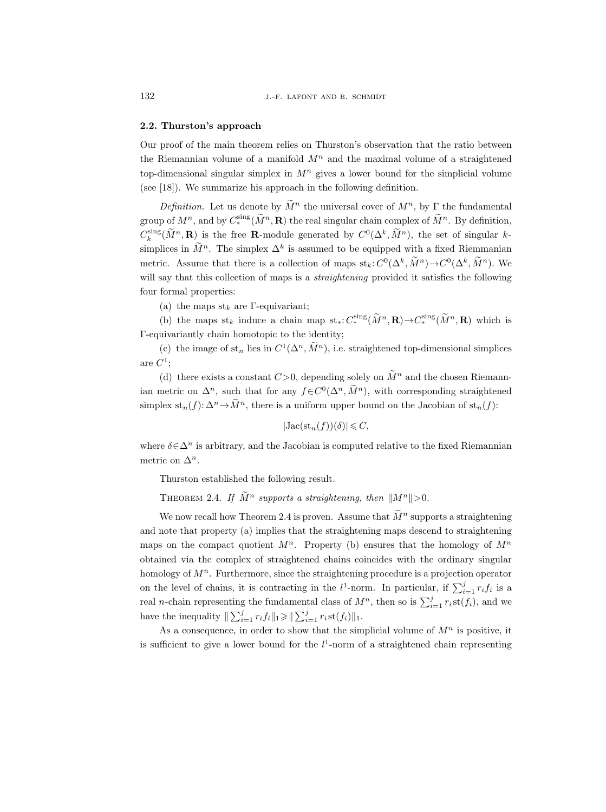#### 2.2. Thurston's approach

Our proof of the main theorem relies on Thurston's observation that the ratio between the Riemannian volume of a manifold  $M<sup>n</sup>$  and the maximal volume of a straightened top-dimensional singular simplex in  $M<sup>n</sup>$  gives a lower bound for the simplicial volume (see [18]). We summarize his approach in the following definition.

Definition. Let us denote by  $\widetilde{M}^n$  the universal cover of  $M^n$ , by  $\Gamma$  the fundamental group of  $M^n$ , and by  $C_*^{\text{sing}}(\widetilde{M}^n, \mathbf{R})$  the real singular chain complex of  $\widetilde{M}^n$ . By definition,  $C_k^{\text{sing}}(\tilde{M}^n, \mathbf{R})$  is the free **R**-module generated by  $C^0(\Delta^k, \tilde{M}^n)$ , the set of singular ksimplices in  $M^n$ . The simplex  $\Delta^k$  is assumed to be equipped with a fixed Riemmanian metric. Assume that there is a collection of maps  $st_k: C^0(\Delta^k, M^n) \to C^0(\Delta^k, M^n)$ . We will say that this collection of maps is a *straightening* provided it satisfies the following four formal properties:

(a) the maps  $\mathrm{st}_k$  are Γ-equivariant;

(b) the maps st<sub>k</sub> induce a chain map st<sub>\*</sub>:  $C_*^{\text{sing}}(\tilde{M}^n, \mathbf{R}) \to C_*^{\text{sing}}(\tilde{M}^n, \mathbf{R})$  which is Γ-equivariantly chain homotopic to the identity;

(c) the image of  $st_n$  lies in  $C^1(\Delta^n, M^n)$ , i.e. straightened top-dimensional simplices  $are C<sup>1</sup>$ ;

(d) there exists a constant  $C>0$ , depending solely on  $\widetilde{M}^n$  and the chosen Riemannian metric on  $\Delta^n$ , such that for any  $f \in C^0(\Delta^n, \tilde{M}^n)$ , with corresponding straightened simplex  $st_n(f): \Delta^n \to \tilde{M}^n$ , there is a uniform upper bound on the Jacobian of  $st_n(f)$ :

$$
|\mathrm{Jac}(\mathrm{st}_n(f))(\delta)| \leqslant C,
$$

where  $\delta \in \Delta^n$  is arbitrary, and the Jacobian is computed relative to the fixed Riemannian metric on  $\Delta^n$ .

Thurston established the following result.

THEOREM 2.4. If  $\widetilde{M}^n$  supports a straightening, then  $||M^n||>0$ .

We now recall how Theorem 2.4 is proven. Assume that  $\tilde{M}^n$  supports a straightening and note that property (a) implies that the straightening maps descend to straightening maps on the compact quotient  $M^n$ . Property (b) ensures that the homology of  $M^n$ obtained via the complex of straightened chains coincides with the ordinary singular homology of  $M<sup>n</sup>$ . Furthermore, since the straightening procedure is a projection operator on the level of chains, it is contracting in the  $l^1$ -norm. In particular, if  $\sum_{i=1}^{j} r_i f_i$  is a real *n*-chain representing the fundamental class of  $M^n$ , then so is  $\sum_{i=1}^j r_i$ st $(f_i)$ , and we have the inequality  $\|\sum_{i=1}^j r_i f_i\|_1 \geq \|\sum_{i=1}^j r_i \operatorname{st}(f_i)\|_1$ .

As a consequence, in order to show that the simplicial volume of  $M<sup>n</sup>$  is positive, it is sufficient to give a lower bound for the  $l^1$ -norm of a straightened chain representing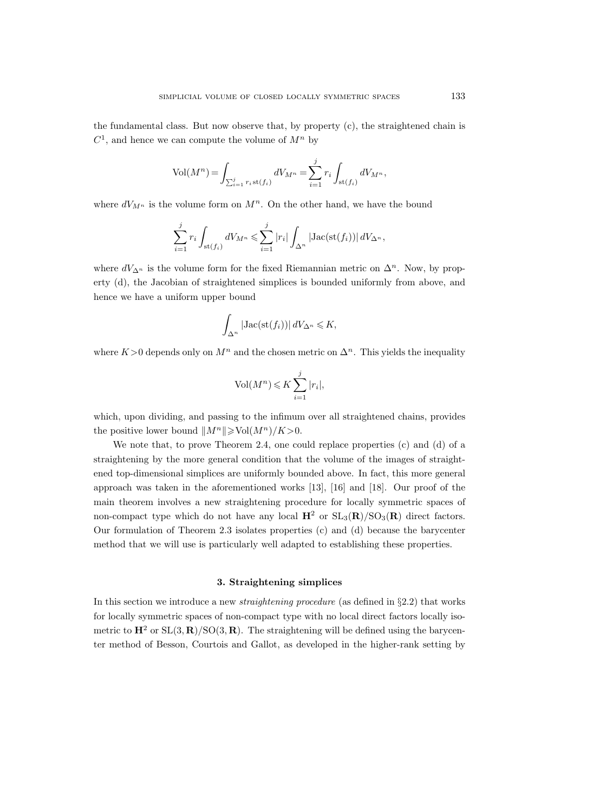the fundamental class. But now observe that, by property (c), the straightened chain is  $C^1$ , and hence we can compute the volume of  $M^n$  by

$$
Vol(M^{n}) = \int_{\sum_{i=1}^{j} r_{i} st(f_{i})} dV_{M^{n}} = \sum_{i=1}^{j} r_{i} \int_{st(f_{i})} dV_{M^{n}},
$$

where  $dV_{M^n}$  is the volume form on  $M^n$ . On the other hand, we have the bound

$$
\sum_{i=1}^j r_i \int_{\text{st}(f_i)} dV_{M^n} \leqslant \sum_{i=1}^j |r_i| \int_{\Delta^n} |\text{Jac}(\text{st}(f_i))| dV_{\Delta^n},
$$

where  $dV_{\Delta^n}$  is the volume form for the fixed Riemannian metric on  $\Delta^n$ . Now, by property (d), the Jacobian of straightened simplices is bounded uniformly from above, and hence we have a uniform upper bound

$$
\int_{\Delta^n} | \mathrm{Jac}(\mathrm{st}(f_i)) | \, dV_{\Delta^n} \leqslant K,
$$

where K>0 depends only on  $M^n$  and the chosen metric on  $\Delta^n$ . This yields the inequality

$$
Vol(M^n) \leqslant K \sum_{i=1}^j |r_i|,
$$

which, upon dividing, and passing to the infimum over all straightened chains, provides the positive lower bound  $||M^n|| \geq Vol(M^n)/K>0$ .

We note that, to prove Theorem 2.4, one could replace properties (c) and (d) of a straightening by the more general condition that the volume of the images of straightened top-dimensional simplices are uniformly bounded above. In fact, this more general approach was taken in the aforementioned works [13], [16] and [18]. Our proof of the main theorem involves a new straightening procedure for locally symmetric spaces of non-compact type which do not have any local  $\mathbf{H}^2$  or  $SL_3(\mathbf{R})/SO_3(\mathbf{R})$  direct factors. Our formulation of Theorem 2.3 isolates properties (c) and (d) because the barycenter method that we will use is particularly well adapted to establishing these properties.

## 3. Straightening simplices

In this section we introduce a new *straightening procedure* (as defined in  $\S 2.2$ ) that works for locally symmetric spaces of non-compact type with no local direct factors locally isometric to  $\mathbf{H}^2$  or  $SL(3,\mathbf{R})/SO(3,\mathbf{R})$ . The straightening will be defined using the barycenter method of Besson, Courtois and Gallot, as developed in the higher-rank setting by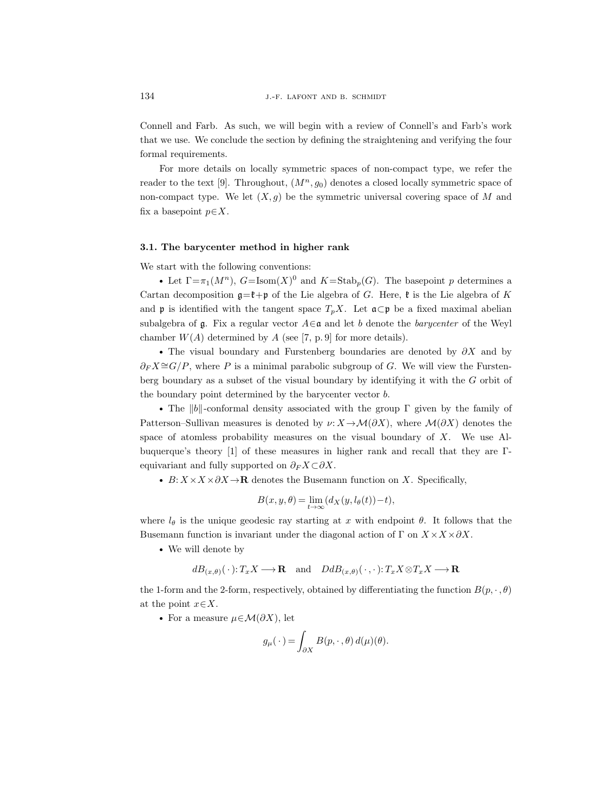Connell and Farb. As such, we will begin with a review of Connell's and Farb's work that we use. We conclude the section by defining the straightening and verifying the four formal requirements.

For more details on locally symmetric spaces of non-compact type, we refer the reader to the text [9]. Throughout,  $(M^n, g_0)$  denotes a closed locally symmetric space of non-compact type. We let  $(X, q)$  be the symmetric universal covering space of M and fix a basepoint  $p \in X$ .

# 3.1. The barycenter method in higher rank

We start with the following conventions:

• Let  $\Gamma = \pi_1(M^n)$ ,  $G = \text{Isom}(X)^0$  and  $K = \text{Stab}_p(G)$ . The basepoint p determines a Cartan decomposition  $\mathfrak{g}=\mathfrak{k}+\mathfrak{p}$  of the Lie algebra of G. Here,  $\mathfrak{k}$  is the Lie algebra of K and **p** is identified with the tangent space  $T_pX$ . Let  $\mathfrak{a}\subset \mathfrak{p}$  be a fixed maximal abelian subalgebra of g. Fix a regular vector  $A \in \mathfrak{a}$  and let b denote the barycenter of the Weyl chamber  $W(A)$  determined by A (see [7, p. 9] for more details).

• The visual boundary and Furstenberg boundaries are denoted by  $\partial X$  and by  $\partial_F X \cong G/P$ , where P is a minimal parabolic subgroup of G. We will view the Furstenberg boundary as a subset of the visual boundary by identifying it with the G orbit of the boundary point determined by the barycenter vector b.

• The  $||b||$ -conformal density associated with the group Γ given by the family of Patterson–Sullivan measures is denoted by  $\nu: X \to \mathcal{M}(\partial X)$ , where  $\mathcal{M}(\partial X)$  denotes the space of atomless probability measures on the visual boundary of  $X$ . We use Albuquerque's theory [1] of these measures in higher rank and recall that they are Γequivariant and fully supported on  $\partial_F X \subset \partial X$ .

•  $B: X \times X \times \partial X \rightarrow \mathbf{R}$  denotes the Busemann function on X. Specifically,

$$
B(x, y, \theta) = \lim_{t \to \infty} (d_X(y, l_\theta(t)) - t),
$$

where  $l_{\theta}$  is the unique geodesic ray starting at x with endpoint  $\theta$ . It follows that the Busemann function is invariant under the diagonal action of  $\Gamma$  on  $X \times X \times \partial X$ .

We will denote by

$$
dB_{(x,\theta)}(\cdot):T_xX\longrightarrow{\mathbf R}\quad\text{and}\quad DdB_{(x,\theta)}(\cdot,\cdot):T_xX\otimes T_xX\longrightarrow{\mathbf R}
$$

the 1-form and the 2-form, respectively, obtained by differentiating the function  $B(p, \cdot, \theta)$ at the point  $x \in X$ .

For a measure  $\mu \in \mathcal{M}(\partial X)$ , let

$$
g_{\mu}(\cdot) = \int_{\partial X} B(p,\cdot\,,\theta) d(\mu)(\theta).
$$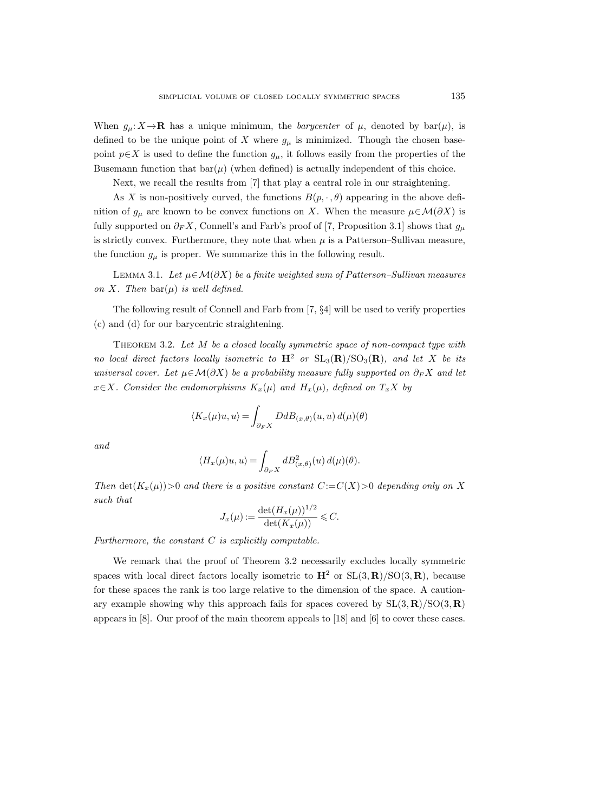When  $g_{\mu}: X \to \mathbf{R}$  has a unique minimum, the *barycenter* of  $\mu$ , denoted by bar $(\mu)$ , is defined to be the unique point of X where  $g_{\mu}$  is minimized. Though the chosen basepoint  $p \in X$  is used to define the function  $g_{\mu}$ , it follows easily from the properties of the Busemann function that  $bar(\mu)$  (when defined) is actually independent of this choice.

Next, we recall the results from [7] that play a central role in our straightening.

As X is non-positively curved, the functions  $B(p, \cdot, \theta)$  appearing in the above definition of  $g_\mu$  are known to be convex functions on X. When the measure  $\mu \in \mathcal{M}(\partial X)$  is fully supported on  $\partial_F X$ , Connell's and Farb's proof of [7, Proposition 3.1] shows that  $g_\mu$ is strictly convex. Furthermore, they note that when  $\mu$  is a Patterson–Sullivan measure, the function  $g_{\mu}$  is proper. We summarize this in the following result.

LEMMA 3.1. Let  $\mu \in \mathcal{M}(\partial X)$  be a finite weighted sum of Patterson–Sullivan measures on X. Then  $bar(\mu)$  is well defined.

The following result of Connell and Farb from [7, §4] will be used to verify properties (c) and (d) for our barycentric straightening.

THEOREM 3.2. Let M be a closed locally symmetric space of non-compact type with no local direct factors locally isometric to  $H^2$  or  $SL_3(R)/SO_3(R)$ , and let X be its universal cover. Let  $\mu \in \mathcal{M}(\partial X)$  be a probability measure fully supported on  $\partial_F X$  and let  $x \in X$ . Consider the endomorphisms  $K_x(\mu)$  and  $H_x(\mu)$ , defined on  $T_x X$  by

$$
\langle K_x(\mu)u, u \rangle = \int_{\partial_F X} DdB_{(x,\theta)}(u, u) d(\mu)(\theta)
$$

and

$$
\langle H_x(\mu)u, u \rangle = \int_{\partial_F X} dB^2_{(x,\theta)}(u) d(\mu)(\theta).
$$

Then  $\det(K_x(\mu))>0$  and there is a positive constant  $C:=C(X)>0$  depending only on X such that

$$
J_x(\mu) := \frac{\det(H_x(\mu))^{1/2}}{\det(K_x(\mu))} \leqslant C.
$$

Furthermore, the constant  $C$  is explicitly computable.

We remark that the proof of Theorem 3.2 necessarily excludes locally symmetric spaces with local direct factors locally isometric to  $\mathbf{H}^2$  or  $SL(3,\mathbf{R})/SO(3,\mathbf{R})$ , because for these spaces the rank is too large relative to the dimension of the space. A cautionary example showing why this approach fails for spaces covered by  $SL(3,\mathbf{R})/SO(3,\mathbf{R})$ appears in [8]. Our proof of the main theorem appeals to [18] and [6] to cover these cases.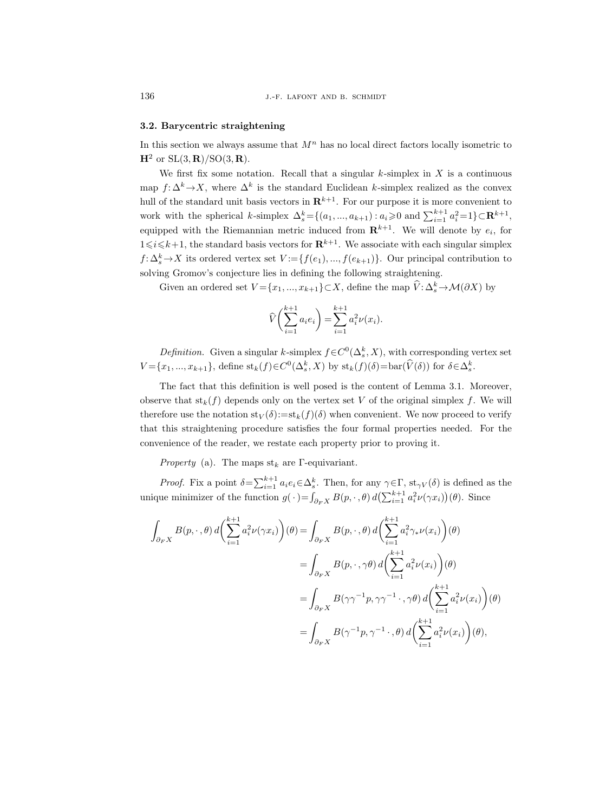# 3.2. Barycentric straightening

In this section we always assume that  $M<sup>n</sup>$  has no local direct factors locally isometric to  $H^2$  or  $SL(3, \mathbf{R})/SO(3, \mathbf{R})$ .

We first fix some notation. Recall that a singular  $k$ -simplex in  $X$  is a continuous map  $f: \Delta^k \to X$ , where  $\Delta^k$  is the standard Euclidean k-simplex realized as the convex hull of the standard unit basis vectors in  $\mathbb{R}^{k+1}$ . For our purpose it is more convenient to work with the spherical k-simplex  $\Delta_s^k = \{(a_1, ..., a_{k+1}) : a_i \geqslant 0 \text{ and } \sum_{i=1}^{k+1} a_i^2 = 1\} \subset \mathbb{R}^{k+1}$ , equipped with the Riemannian metric induced from  $\mathbf{R}^{k+1}$ . We will denote by  $e_i$ , for  $1 \leq i \leq k+1$ , the standard basis vectors for  $\mathbb{R}^{k+1}$ . We associate with each singular simplex  $f: \Delta_s^k \to X$  its ordered vertex set  $V := \{f(e_1), ..., f(e_{k+1})\}$ . Our principal contribution to solving Gromov's conjecture lies in defining the following straightening.

Given an ordered set  $V = \{x_1, ..., x_{k+1}\} \subset X$ , define the map  $\hat{V}: \Delta_s^k \to \mathcal{M}(\partial X)$  by

$$
\widehat{V}\left(\sum_{i=1}^{k+1} a_i e_i\right) = \sum_{i=1}^{k+1} a_i^2 \nu(x_i).
$$

Definition. Given a singular k-simplex  $f \in C^0(\Delta_s^k, X)$ , with corresponding vertex set  $V = \{x_1, ..., x_{k+1}\}\$ , define  $\operatorname{st}_k(f) \in C^0(\Delta_s^k, X)$  by  $\operatorname{st}_k(f)(\delta) = \operatorname{bar}(\hat{V}(\delta))$  for  $\delta \in \Delta_s^k$ .

The fact that this definition is well posed is the content of Lemma 3.1. Moreover, observe that  $\operatorname{st}_k(f)$  depends only on the vertex set V of the original simplex f. We will therefore use the notation  $\text{st}_V(\delta) := \text{st}_k(f)(\delta)$  when convenient. We now proceed to verify that this straightening procedure satisfies the four formal properties needed. For the convenience of the reader, we restate each property prior to proving it.

*Property* (a). The maps  $st_k$  are Γ-equivariant.

*Proof.* Fix a point  $\delta = \sum_{i=1}^{k+1} a_i e_i \in \Delta_s^k$ . Then, for any  $\gamma \in \Gamma$ ,  $st_{\gamma V}(\delta)$  is defined as the unique minimizer of the function  $g(\cdot) = \int_{\partial_F X} B(p, \cdot, \theta) d\left(\sum_{i=1}^{k+1} a_i^2 \nu(\gamma x_i)\right)(\theta)$ . Since

$$
\int_{\partial_F X} B(p, \cdot, \theta) d\left(\sum_{i=1}^{k+1} a_i^2 \nu(\gamma x_i)\right)(\theta) = \int_{\partial_F X} B(p, \cdot, \theta) d\left(\sum_{i=1}^{k+1} a_i^2 \gamma_* \nu(x_i)\right)(\theta)
$$

$$
= \int_{\partial_F X} B(p, \cdot, \gamma \theta) d\left(\sum_{i=1}^{k+1} a_i^2 \nu(x_i)\right)(\theta)
$$

$$
= \int_{\partial_F X} B(\gamma \gamma^{-1} p, \gamma \gamma^{-1} \cdot, \gamma \theta) d\left(\sum_{i=1}^{k+1} a_i^2 \nu(x_i)\right)(\theta)
$$

$$
= \int_{\partial_F X} B(\gamma^{-1} p, \gamma^{-1} \cdot, \theta) d\left(\sum_{i=1}^{k+1} a_i^2 \nu(x_i)\right)(\theta),
$$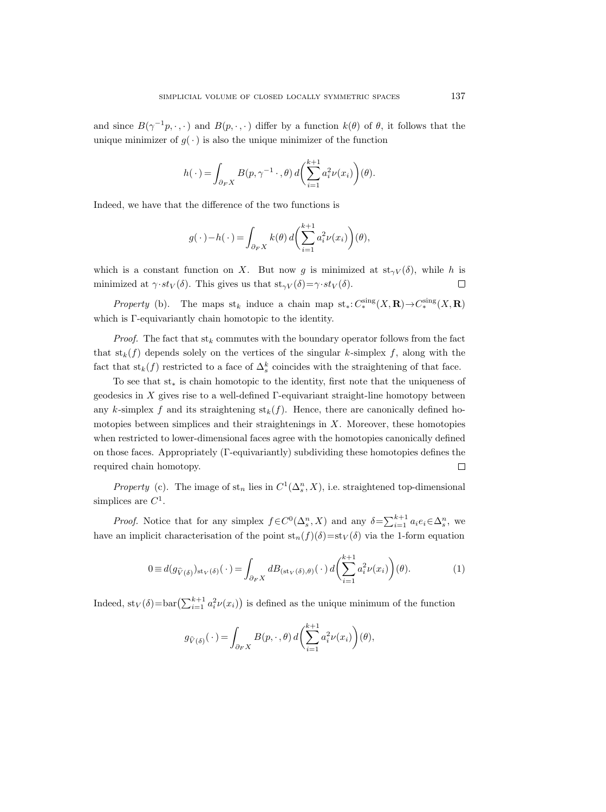and since  $B(\gamma^{-1}p, \cdot, \cdot)$  and  $B(p, \cdot, \cdot)$  differ by a function  $k(\theta)$  of  $\theta$ , it follows that the unique minimizer of  $g(\cdot)$  is also the unique minimizer of the function

$$
h(\cdot) = \int_{\partial_F X} B(p, \gamma^{-1} \cdot, \theta) d\left(\sum_{i=1}^{k+1} a_i^2 \nu(x_i)\right)(\theta).
$$

Indeed, we have that the difference of the two functions is

$$
g(\cdot) - h(\cdot) = \int_{\partial_F X} k(\theta) d\left(\sum_{i=1}^{k+1} a_i^2 \nu(x_i)\right)(\theta),
$$

which is a constant function on X. But now g is minimized at  $st_{\gamma V}(\delta)$ , while h is minimized at  $\gamma \cdot st_V(\delta)$ . This gives us that  $st_{\gamma V}(\delta) = \gamma \cdot st_V(\delta)$ .  $\Box$ 

*Property* (b). The maps st<sub>k</sub> induce a chain map st<sub>\*</sub>:  $C_*^{\text{sing}}(X, \mathbf{R}) \to C_*^{\text{sing}}(X, \mathbf{R})$ which is Γ-equivariantly chain homotopic to the identity.

*Proof.* The fact that  $\mathrm{st}_k$  commutes with the boundary operator follows from the fact that  $\text{st}_k(f)$  depends solely on the vertices of the singular k-simplex f, along with the fact that  $\operatorname{st}_k(f)$  restricted to a face of  $\Delta_s^k$  coincides with the straightening of that face.

To see that st<sup>∗</sup> is chain homotopic to the identity, first note that the uniqueness of geodesics in  $X$  gives rise to a well-defined  $\Gamma$ -equivariant straight-line homotopy between any k-simplex f and its straightening  $\mathrm{st}_k(f)$ . Hence, there are canonically defined homotopies between simplices and their straightenings in  $X$ . Moreover, these homotopies when restricted to lower-dimensional faces agree with the homotopies canonically defined on those faces. Appropriately (Γ-equivariantly) subdividing these homotopies defines the required chain homotopy.  $\Box$ 

*Property* (c). The image of  $st_n$  lies in  $C^1(\Delta_s^n, X)$ , i.e. straightened top-dimensional simplices are  $C^1$ .

*Proof.* Notice that for any simplex  $f \in C^0(\Delta_s^n, X)$  and any  $\delta = \sum_{i=1}^{k+1} a_i e_i \in \Delta_s^n$ , we have an implicit characterisation of the point  $st_n(f)(\delta)=st_V(\delta)$  via the 1-form equation

$$
0 \equiv d(g_{\widehat{V}(\delta)})_{\text{st}_V(\delta)}(\cdot) = \int_{\partial_F X} dB_{(\text{st}_V(\delta), \theta)}(\cdot) d\left(\sum_{i=1}^{k+1} a_i^2 \nu(x_i)\right)(\theta). \tag{1}
$$

Indeed,  $\text{st}_V(\delta) = \text{bar}(\sum_{i=1}^{k+1} a_i^2 \nu(x_i))$  is defined as the unique minimum of the function

$$
g_{\widehat{V}(\delta)}(\cdot) = \int_{\partial_F X} B(p,\cdot,\theta) d\left(\sum_{i=1}^{k+1} a_i^2 \nu(x_i)\right)(\theta),
$$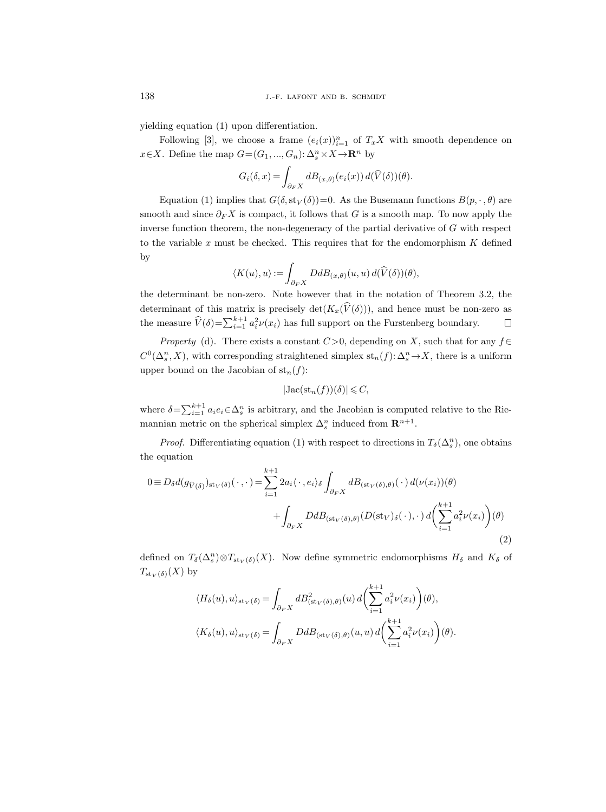yielding equation (1) upon differentiation.

Following [3], we choose a frame  $(e_i(x))_{i=1}^n$  of  $T_xX$  with smooth dependence on  $x \in X$ . Define the map  $G = (G_1, ..., G_n): \Delta_s^n \times X \to \mathbb{R}^n$  by

$$
G_i(\delta, x) = \int_{\partial_F X} dB_{(x,\theta)}(e_i(x)) d(\widehat{V}(\delta))(\theta).
$$

Equation (1) implies that  $G(\delta, \text{st}_V(\delta))=0$ . As the Busemann functions  $B(p, \cdot, \theta)$  are smooth and since  $\partial_F X$  is compact, it follows that G is a smooth map. To now apply the inverse function theorem, the non-degeneracy of the partial derivative of  $G$  with respect to the variable  $x$  must be checked. This requires that for the endomorphism  $K$  defined by

$$
\langle K(u),u\rangle := \int_{\partial_F X} DdB_{(x,\theta)}(u,u) d(\widehat{V}(\delta))(\theta),
$$

the determinant be non-zero. Note however that in the notation of Theorem 3.2, the determinant of this matrix is precisely det $(K_x(\hat{V}(\delta)))$ , and hence must be non-zero as the measure  $\hat{V}(\delta) = \sum_{i=1}^{k+1} a_i^2 \nu(x_i)$  has full support on the Furstenberg boundary. the measure  $\widehat{V}(\delta) = \sum_{i=1}^{k+1} a_i^2 \nu(x_i)$  has full support on the Furstenberg boundary.

Property (d). There exists a constant  $C>0$ , depending on X, such that for any  $f \in$  $C^0(\Delta^n_s, X)$ , with corresponding straightened simplex  $st_n(f): \Delta^n_s \to X$ , there is a uniform upper bound on the Jacobian of  $st_n(f)$ :

$$
|\mathrm{Jac}(\mathrm{st}_n(f))(\delta)| \leqslant C,
$$

where  $\delta = \sum_{i=1}^{k+1} a_i e_i \in \Delta_s^n$  is arbitrary, and the Jacobian is computed relative to the Riemannian metric on the spherical simplex  $\Delta_s^n$  induced from  $\mathbb{R}^{n+1}$ .

*Proof.* Differentiating equation (1) with respect to directions in  $T_\delta(\Delta^n_s)$ , one obtains the equation

$$
0 \equiv D_{\delta}d(g_{\hat{V}(\delta)})_{\text{st}_V(\delta)}(\cdot,\cdot) = \sum_{i=1}^{k+1} 2a_i \langle \cdot, e_i \rangle_{\delta} \int_{\partial_F X} dB_{(\text{st}_V(\delta),\theta)}(\cdot) d(\nu(x_i))(\theta) + \int_{\partial_F X} DdB_{(\text{st}_V(\delta),\theta)}(D(\text{st}_V)_{\delta}(\cdot),\cdot) d\left(\sum_{i=1}^{k+1} a_i^2 \nu(x_i)\right)(\theta)
$$
\n(2)

defined on  $T_\delta(\Delta^n_s) \otimes T_{\text{st}_V(\delta)}(X)$ . Now define symmetric endomorphisms  $H_\delta$  and  $K_\delta$  of  $T_{\text{st}_V(\delta)}(X)$  by

$$
\langle H_{\delta}(u), u \rangle_{\text{st}_V(\delta)} = \int_{\partial_F X} dB_{(\text{st}_V(\delta), \theta)}^2(u) d\left(\sum_{i=1}^{k+1} a_i^2 \nu(x_i)\right)(\theta),
$$
  

$$
\langle K_{\delta}(u), u \rangle_{\text{st}_V(\delta)} = \int_{\partial_F X} D dB_{(\text{st}_V(\delta), \theta)}(u, u) d\left(\sum_{i=1}^{k+1} a_i^2 \nu(x_i)\right)(\theta).
$$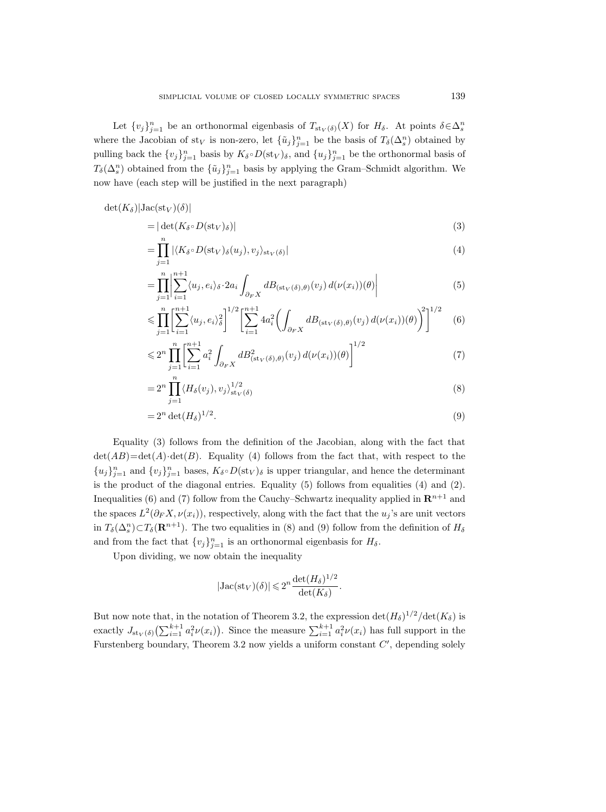Let  $\{v_j\}_{j=1}^n$  be an orthonormal eigenbasis of  $T_{\text{st}_V(\delta)}(X)$  for  $H_\delta$ . At points  $\delta \in \Delta_s^n$ where the Jacobian of st<sub>V</sub> is non-zero, let  $\{\tilde{u}_j\}_{j=1}^n$  be the basis of  $T_\delta(\Delta^n_s)$  obtained by pulling back the  $\{v_j\}_{j=1}^n$  basis by  $K_\delta \circ D(\text{st}_V)_\delta$ , and  $\{u_j\}_{j=1}^n$  be the orthonormal basis of  $T_\delta(\Delta^n_s)$  obtained from the  $\{\tilde u_j\}_{j=1}^n$  basis by applying the Gram–Schmidt algorithm. We now have (each step will be justified in the next paragraph)

$$
\det(K_{\delta})|\mathrm{Jac}(\mathrm{st}_V)(\delta)|
$$

$$
= |\det(K_{\delta} \circ D(\mathrm{st}_V)_{\delta})|
$$
\n(3)

$$
=\prod_{j=1}^{n} |\langle K_{\delta} \circ D(\mathrm{st}_{V})_{\delta}(u_{j}), v_{j} \rangle_{\mathrm{st}_{V}(\delta)}|
$$
\n(4)

$$
= \prod_{j=1}^{n} \left| \sum_{i=1}^{n+1} \langle u_j, e_i \rangle_{\delta} \cdot 2 a_i \int_{\partial_F X} dB_{(\text{st}_V(\delta), \theta)}(v_j) d(\nu(x_i))(\theta) \right| \tag{5}
$$

$$
\leqslant \prod_{j=1}^{n} \left[ \sum_{i=1}^{n+1} \langle u_j, e_i \rangle_{\delta}^2 \right]^{1/2} \left[ \sum_{i=1}^{n+1} 4a_i^2 \left( \int_{\partial_F X} dB_{(\text{st}_V(\delta), \theta)}(v_j) d(\nu(x_i))(\theta) \right)^2 \right]^{1/2} \tag{6}
$$

$$
\leq 2^n \prod_{j=1}^n \left[ \sum_{i=1}^{n+1} a_i^2 \int_{\partial_F X} dB_{(\text{st}_V(\delta), \theta)}^2(v_j) d(\nu(x_i))(\theta) \right]^{1/2} \tag{7}
$$

$$
=2^n\prod_{j=1}^n \langle H_\delta(v_j), v_j \rangle_{\text{st}_V(\delta)}^{1/2} \tag{8}
$$

$$
=2^n \det(H_\delta)^{1/2}.
$$
\n<sup>(9)</sup>

Equality (3) follows from the definition of the Jacobian, along with the fact that  $\det(AB) = \det(A) \cdot \det(B)$ . Equality (4) follows from the fact that, with respect to the  ${u_j}_{j=1}^n$  and  ${v_j}_{j=1}^n$  bases,  $K_\delta \circ D(\text{st}_V)_\delta$  is upper triangular, and hence the determinant is the product of the diagonal entries. Equality (5) follows from equalities (4) and (2). Inequalities (6) and (7) follow from the Cauchy–Schwartz inequality applied in  $\mathbb{R}^{n+1}$  and the spaces  $L^2(\partial_F X, \nu(x_i))$ , respectively, along with the fact that the  $u_j$ 's are unit vectors in  $T_\delta(\Delta^n_s) \subset T_\delta(\mathbf{R}^{n+1})$ . The two equalities in (8) and (9) follow from the definition of  $H_\delta$ and from the fact that  ${v_j}_{j=1}^n$  is an orthonormal eigenbasis for  $H_\delta$ .

Upon dividing, we now obtain the inequality

$$
|\mathrm{Jac}(\mathrm{st}_V)(\delta)| \leq 2^n \frac{\det(H_\delta)^{1/2}}{\det(K_\delta)}.
$$

But now note that, in the notation of Theorem 3.2, the expression  $\det(H_\delta)^{1/2}/\det(K_\delta)$  is exactly  $J_{\text{st}_V(\delta)}(\sum_{i=1}^{k+1} a_i^2 \nu(x_i))$ . Since the measure  $\sum_{i=1}^{k+1} a_i^2 \nu(x_i)$  has full support in the Furstenberg boundary, Theorem 3.2 now yields a uniform constant  $C'$ , depending solely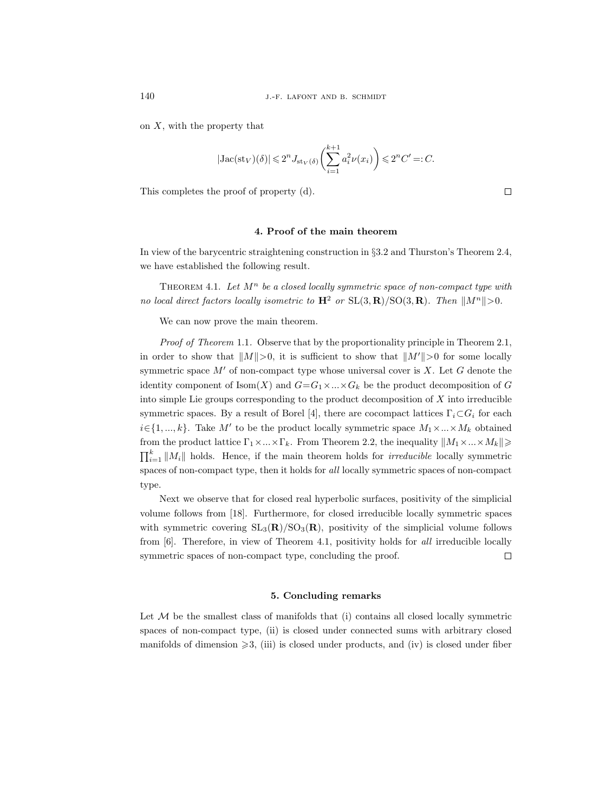on  $X$ , with the property that

$$
|\mathrm{Jac}(\mathrm{st}_V)(\delta)| \leqslant 2^n J_{\mathrm{st}_V(\delta)} \bigg( \sum_{i=1}^{k+1} a_i^2 \nu(x_i) \bigg) \leqslant 2^n C' =: C.
$$

This completes the proof of property (d).

### 4. Proof of the main theorem

In view of the barycentric straightening construction in §3.2 and Thurston's Theorem 2.4, we have established the following result.

THEOREM 4.1. Let  $M^n$  be a closed locally symmetric space of non-compact type with no local direct factors locally isometric to  $H^2$  or  $SL(3, \mathbf{R})/SO(3, \mathbf{R})$ . Then  $||M^n|| > 0$ .

We can now prove the main theorem.

Proof of Theorem 1.1. Observe that by the proportionality principle in Theorem 2.1, in order to show that  $||M||>0$ , it is sufficient to show that  $||M'||>0$  for some locally symmetric space  $M'$  of non-compact type whose universal cover is X. Let G denote the identity component of  $\text{Isom}(X)$  and  $G=G_1\times...\times G_k$  be the product decomposition of G into simple Lie groups corresponding to the product decomposition of  $X$  into irreducible symmetric spaces. By a result of Borel [4], there are cocompact lattices  $\Gamma_i \subset G_i$  for each  $i \in \{1, ..., k\}$ . Take M' to be the product locally symmetric space  $M_1 \times ... \times M_k$  obtained from the product lattice  $\Gamma_1 \times ... \times \Gamma_k$ . From Theorem 2.2, the inequality  $||M_1 \times ... \times M_k||$  $\prod_{i=1}^k ||M_i||$  holds. Hence, if the main theorem holds for *irreducible* locally symmetric spaces of non-compact type, then it holds for all locally symmetric spaces of non-compact type.

Next we observe that for closed real hyperbolic surfaces, positivity of the simplicial volume follows from [18]. Furthermore, for closed irreducible locally symmetric spaces with symmetric covering  $SL_3(R)/SO_3(R)$ , positivity of the simplicial volume follows from [6]. Therefore, in view of Theorem 4.1, positivity holds for all irreducible locally symmetric spaces of non-compact type, concluding the proof.  $\Box$ 

## 5. Concluding remarks

Let  $M$  be the smallest class of manifolds that (i) contains all closed locally symmetric spaces of non-compact type, (ii) is closed under connected sums with arbitrary closed manifolds of dimension  $\geqslant$  3, (iii) is closed under products, and (iv) is closed under fiber

 $\Box$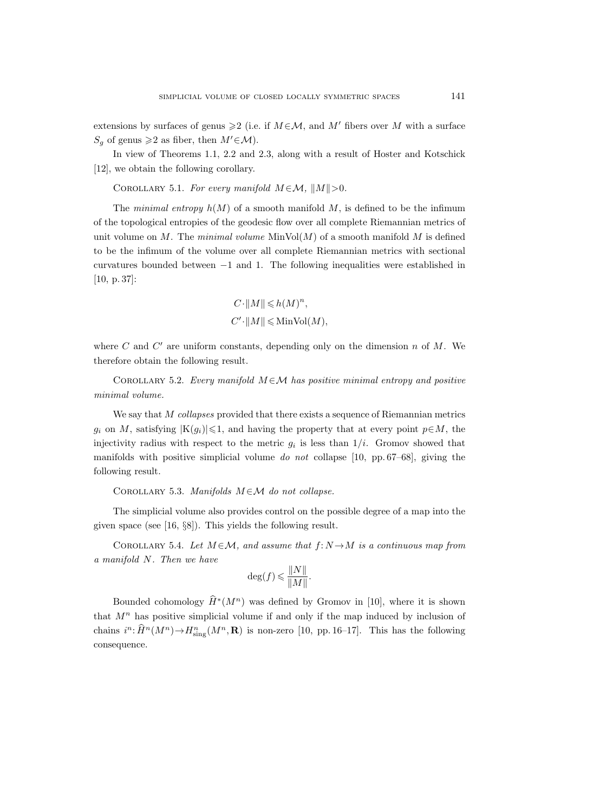extensions by surfaces of genus  $\geq 2$  (i.e. if  $M \in \mathcal{M}$ , and M' fibers over M with a surface  $S_q$  of genus  $\geq 2$  as fiber, then  $M' \in \mathcal{M}$ ).

In view of Theorems 1.1, 2.2 and 2.3, along with a result of Hoster and Kotschick [12], we obtain the following corollary.

COROLLARY 5.1. For every manifold  $M \in \mathcal{M}$ ,  $||M|| > 0$ .

The minimal entropy  $h(M)$  of a smooth manifold M, is defined to be the infimum of the topological entropies of the geodesic flow over all complete Riemannian metrics of unit volume on M. The minimal volume  $\text{MinVol}(M)$  of a smooth manifold M is defined to be the infimum of the volume over all complete Riemannian metrics with sectional curvatures bounded between −1 and 1. The following inequalities were established in [10, p. 37]:

$$
\begin{aligned} &C\!\cdot\!\left\|M\right\|\leqslant& h(M)^n,\\ &C'\!\cdot\!\left\|M\right\|\leqslant&\mathrm{Min} \mathrm{Vol}(M), \end{aligned}
$$

where  $C$  and  $C'$  are uniform constants, depending only on the dimension  $n$  of  $M$ . We therefore obtain the following result.

COROLLARY 5.2. Every manifold  $M \in \mathcal{M}$  has positive minimal entropy and positive minimal volume.

We say that  $M$  collapses provided that there exists a sequence of Riemannian metrics  $g_i$  on M, satisfying  $|K(g_i)| \leq 1$ , and having the property that at every point  $p \in M$ , the injectivity radius with respect to the metric  $g_i$  is less than  $1/i$ . Gromov showed that manifolds with positive simplicial volume do not collapse  $[10, pp. 67–68]$ , giving the following result.

COROLLARY 5.3. Manifolds  $M \in \mathcal{M}$  do not collapse.

The simplicial volume also provides control on the possible degree of a map into the given space (see [16, §8]). This yields the following result.

COROLLARY 5.4. Let  $M \in \mathcal{M}$ , and assume that  $f: N \to M$  is a continuous map from a manifold N. Then we have

$$
\deg(f) \leqslant \frac{\|N\|}{\|M\|}.
$$

Bounded cohomology  $\hat{H}^*(M^n)$  was defined by Gromov in [10], where it is shown that  $M<sup>n</sup>$  has positive simplicial volume if and only if the map induced by inclusion of chains  $i^n \colon \hat{H}^n(M^n) \to H^n_{\text{sing}}(M^n, \mathbf{R})$  is non-zero [10, pp. 16–17]. This has the following consequence.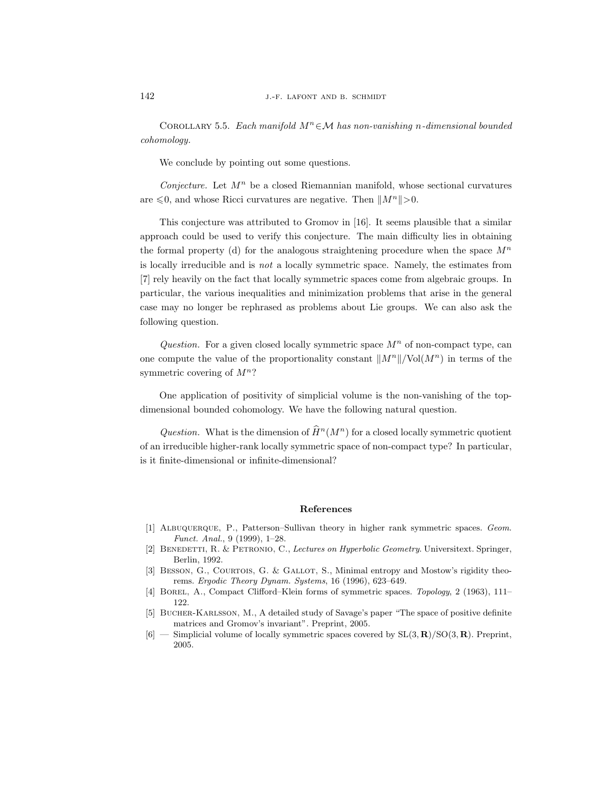COROLLARY 5.5. Each manifold  $M^n \in \mathcal{M}$  has non-vanishing n-dimensional bounded cohomology.

We conclude by pointing out some questions.

Conjecture. Let  $M^n$  be a closed Riemannian manifold, whose sectional curvatures are  $\leq 0$ , and whose Ricci curvatures are negative. Then  $||M^n|| > 0$ .

This conjecture was attributed to Gromov in [16]. It seems plausible that a similar approach could be used to verify this conjecture. The main difficulty lies in obtaining the formal property (d) for the analogous straightening procedure when the space  $M^n$ is locally irreducible and is not a locally symmetric space. Namely, the estimates from [7] rely heavily on the fact that locally symmetric spaces come from algebraic groups. In particular, the various inequalities and minimization problems that arise in the general case may no longer be rephrased as problems about Lie groups. We can also ask the following question.

Question. For a given closed locally symmetric space  $M^n$  of non-compact type, can one compute the value of the proportionality constant  $||M^n||/\text{Vol}(M^n)$  in terms of the symmetric covering of  $M^n$ ?

One application of positivity of simplicial volume is the non-vanishing of the topdimensional bounded cohomology. We have the following natural question.

Question. What is the dimension of  $\widehat{H}^n(M^n)$  for a closed locally symmetric quotient of an irreducible higher-rank locally symmetric space of non-compact type? In particular, is it finite-dimensional or infinite-dimensional?

## References

- [1] ALBUQUERQUE, P., Patterson–Sullivan theory in higher rank symmetric spaces. Geom. Funct. Anal., 9 (1999), 1–28.
- [2] BENEDETTI, R. & PETRONIO, C., Lectures on Hyperbolic Geometry. Universitext. Springer, Berlin, 1992.
- [3] BESSON, G., COURTOIS, G. & GALLOT, S., Minimal entropy and Mostow's rigidity theorems. Ergodic Theory Dynam. Systems, 16 (1996), 623–649.
- [4] BOREL, A., Compact Clifford–Klein forms of symmetric spaces. Topology, 2 (1963), 111– 122.
- [5] BUCHER-KARLSSON, M., A detailed study of Savage's paper "The space of positive definite matrices and Gromov's invariant". Preprint, 2005.
- $[6]$  Simplicial volume of locally symmetric spaces covered by  $SL(3,\mathbf{R})/SO(3,\mathbf{R})$ . Preprint, 2005.